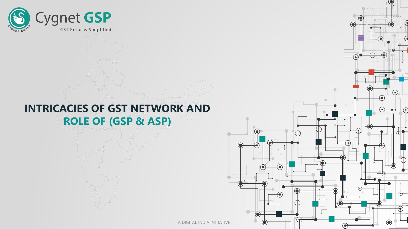

## **INTRICACIES OF GST NETWORK AND ROLE OF (GSP & ASP)**

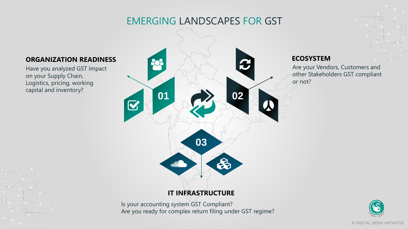## EMERGING LANDSCAPES FOR GST



#### **ORGANIZATION READINESS**

Have you analyzed GST Impact on your Supply Chain, Logistics, pricing, working capital and inventory?

> Is your accounting system GST Compliant? Are you ready for complex return filing under GST regime?

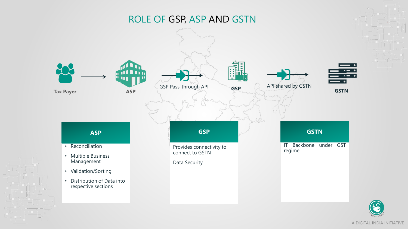## ROLE OF GSP, ASP AND GSTN



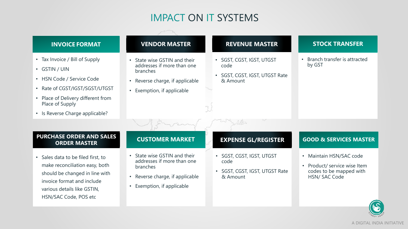## IMPACT ON IT SYSTEMS

#### **INVOICE FORMAT**

- Tax Invoice / Bill of Supply
- GSTIN / UIN
- HSN Code / Service Code
- Rate of CGST/IGST/SGST/UTGST
- Place of Delivery different from Place of Supply
- Is Reverse Charge applicable?

### **VENDOR MASTER**

- State wise GSTIN and their addresses if more than one branches
- Reverse charge, if applicable
- Exemption, if applicable

#### **REVENUE MASTER**

- SGST, CGST, IGST, UTGST code
- SGST, CGST, IGST, UTGST Rate & Amount

#### **STOCK TRANSFER**

• Branch transfer is attracted by GST

#### **PURCHASE ORDER AND SALES ORDER MASTER**

• Sales data to be filed first, to make reconciliation easy, both should be changed in line with invoice format and include various details like GSTIN, HSN/SAC Code, POS etc

#### **CUSTOMER MARKET**

- State wise GSTIN and their addresses if more than one branches
- Reverse charge, if applicable
- Exemption, if applicable

#### **EXPENSE GL/REGISTER**

- SGST, CGST, IGST, UTGST code
- SGST, CGST, IGST, UTGST Rate & Amount

#### **GOOD & SERVICES MASTER**

- Maintain HSN/SAC code
- Product/ service wise Item codes to be mapped with HSN/ SAC Code

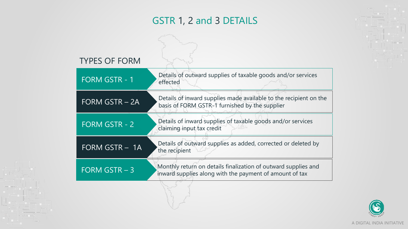## GSTR 1, 2 and 3 DETAILS

| <b>TYPES OF FORM</b>  |                                                                                                                           |
|-----------------------|---------------------------------------------------------------------------------------------------------------------------|
| <b>FORM GSTR - 1</b>  | Details of outward supplies of taxable goods and/or services<br>effected                                                  |
| <b>FORM GSTR - 2A</b> | Details of inward supplies made available to the recipient on the<br>basis of FORM GSTR-1 furnished by the supplier       |
| <b>FORM GSTR - 2</b>  | Details of inward supplies of taxable goods and/or services<br>claiming input tax credit                                  |
| FORM GSTR - 1A        | Details of outward supplies as added, corrected or deleted by<br>the recipient                                            |
| FORM GSTR $-3$        | Monthly return on details finalization of outward supplies and<br>inward supplies along with the payment of amount of tax |
|                       |                                                                                                                           |

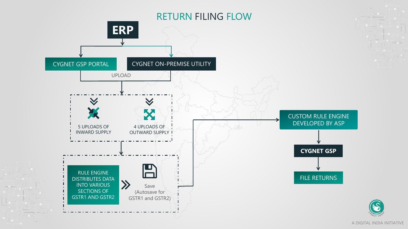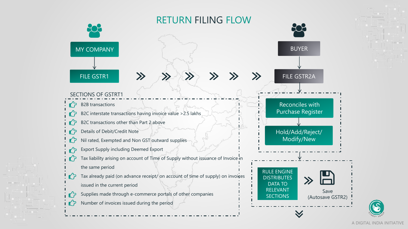

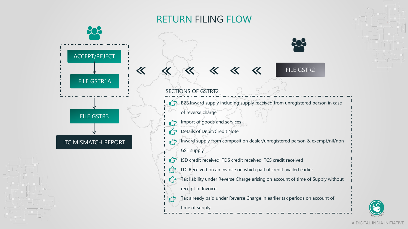## RETURN FILING FLOW



tን Details of Debit/Credit Note

Inward supply from composition dealer/unregistered person & exempt/nil/non GST supply

- ISD credit received, TDS credit received, TCS credit received
- ITC Received on an invoice on which partial credit availed earlier ┎ʹァ
- Tax liability under Reverse Charge arising on account of time of Supply without receipt of Invoice
	- Tax already paid under Reverse Charge in earlier tax periods on account of
	- time of supply

ITC MISMATCH REPORT



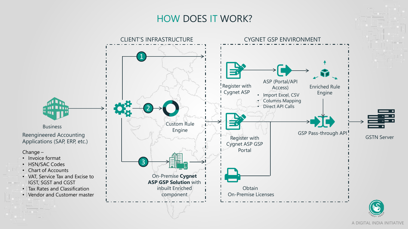## HOW DOES IT WORK?

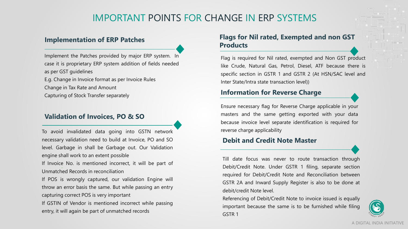## IMPORTANT POINTS FOR CHANGE IN ERP SYSTEMS

#### **Implementation of ERP Patches**

Implement the Patches provided by major ERP system. In case it is proprietary ERP system addition of fields needed as per GST guidelines

E.g. Change in Invoice format as per Invoice Rules Change in Tax Rate and Amount

Capturing of Stock Transfer separately

#### **Validation of Invoices, PO & SO**

To avoid invalidated data going into GSTN network necessary validation need to build at Invoice, PO and SO level. Garbage in shall be Garbage out. Our Validation engine shall work to an extent possible

If Invoice No. is mentioned incorrect, it will be part of Unmatched Records in reconciliation

If POS is wrongly captured, our validation Engine will throw an error basis the same. But while passing an entry capturing correct POS is very important

If GSTIN of Vendor is mentioned incorrect while passing entry, it will again be part of unmatched records

#### **Flags for Nil rated, Exempted and non GST Products**

Flag is required for Nil rated, exempted and Non GST product like Crude, Natural Gas, Petrol, Diesel, ATF because there is specific section in GSTR 1 and GSTR 2 (At HSN/SAC level and Inter State/Intra state transaction level))

#### **Information for Reverse Charge**

Ensure necessary flag for Reverse Charge applicable in your masters and the same getting exported with your data because invoice level separate identification is required for reverse charge applicability

#### **Debit and Credit Note Master**

Till date focus was never to route transaction through Debit/Credit Note. Under GSTR 1 filing, separate section required for Debit/Credit Note and Reconciliation between GSTR 2A and Inward Supply Register is also to be done at debit/credit Note level.

Referencing of Debit/Credit Note to invoice issued is equally important because the same is to be furnished while filing GSTR 1

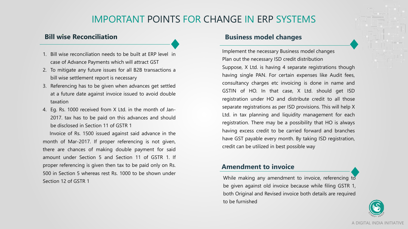## IMPORTANT POINTS FOR CHANGE IN ERP SYSTEMS

#### **Bill wise Reconciliation**

- 1. Bill wise reconciliation needs to be built at ERP level in case of Advance Payments which will attract GST
- 2. To mitigate any future issues for all B2B transactions a bill wise settlement report is necessary
- 3. Referencing has to be given when advances get settled at a future date against invoice issued to avoid double taxation
- 4. Eg. Rs. 1000 received from X Ltd. in the month of Jan-2017. tax has to be paid on this advances and should be disclosed in Section 11 of GSTR 1

Invoice of Rs. 1500 issued against said advance in the month of Mar-2017. If proper referencing is not given, there are chances of making double payment for said amount under Section 5 and Section 11 of GSTR 1. If proper referencing is given then tax to be paid only on Rs. 500 in Section 5 whereas rest Rs. 1000 to be shown under Section 12 of GSTR 1

#### **Business model changes**

Implement the necessary Business model changes Plan out the necessary ISD credit distribution

Suppose, X Ltd. is having 4 separate registrations though having single PAN. For certain expenses like Audit fees, consultancy charges etc invoicing is done in name and GSTIN of HO. In that case, X Ltd. should get ISD registration under HO and distribute credit to all those separate registrations as per ISD provisions. This will help X Ltd. in tax planning and liquidity management for each registration. There may be a possibility that HO is always having excess credit to be carried forward and branches have GST payable every month. By taking ISD registration, credit can be utilized in best possible way

#### **Amendment to invoice**

While making any amendment to invoice, referencing to be given against old invoice because while filing GSTR 1, both Original and Revised invoice both details are required to be furnished

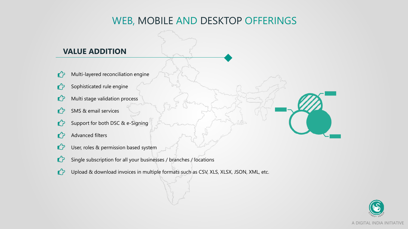## WEB, MOBILE AND DESKTOP OFFERINGS

## **VALUE ADDITION**

- Multi-layered reconciliation engine  $\mathbf{C}$
- Sophisticated rule engine L<sub>7</sub>
- Multi stage validation process ℧
- $\mathbf{C}$ SMS & email services
- Support for both DSC & e-Signing ℧
- Advanced filters L<sub>7</sub>
- $\mathbf{C}$ User, roles & permission based system
- $\mathbf{C}$ Single subscription for all your businesses / branches / locations
- Upload & download invoices in multiple formats such as CSV, XLS, XLSX, JSON, XML, etc.  $\mathbf{C}$

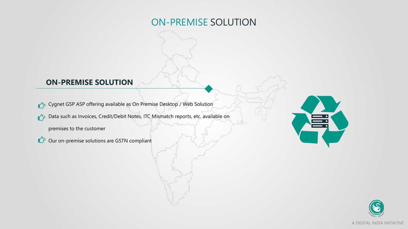## ON-PREMISE SOLUTION

## **ON-PREMISE SOLUTION**

Cygnet GSP ASP offering available as On Premise Desktop / Web Solution

Data such as Invoices, Credit/Debit Notes, ITC Mismatch reports, etc. available on

premises to the customer

C<sub>2</sub> Our on-premise solutions are GSTN compliant



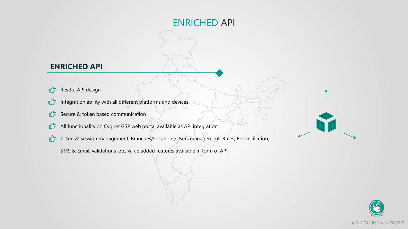## ENRICHED API

## **ENRICHED API**

- $\mathbf{r}$ Restful API design
- Integration ability with all different platforms and devices  $\mathbf{r}$
- $\mathbb{C}$  Secure & token based communication
- All functionality on Cygnet GSP web portal available as API integration  $\mathbf{C}$
- Token & Session management, Branches/Locations/Users management, Rules, Reconciliation,
	- SMS & Email, validations, etc. value added features available in form of API



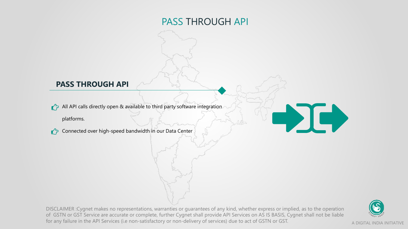## PASS THROUGH API

## **PASS THROUGH API**

All API calls directly open & available to third party software integration

platforms.

Connected over high-speed bandwidth in our Data Center

DISCLAIMER :Cygnet makes no representations, warranties or guarantees of any kind, whether express or implied, as to the operation of GSTN or GST Service are accurate or complete, further Cygnet shall provide API Services on AS IS BASIS, Cygnet shall not be liable for any failure in the API Services (i.e non-satisfactory or non-delivery of services) due to act of GSTN or GST.



-DC)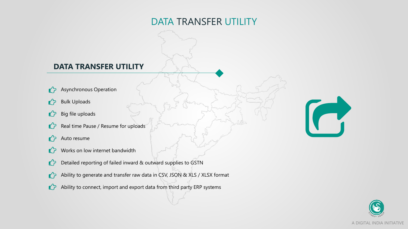## DATA TRANSFER UTILITY

## **DATA TRANSFER UTILITY**

- Asynchronous Operation  $\mathbf{r}$
- Bulk Uploads  $\mathbf{r}$
- Big file uploads  $\mathbf{C}$
- Real time Pause / Resume for uploads  $\mathcal{L}$
- Auto resume  $\mathbf{C}$
- Works on low internet bandwidth L<sub>7</sub>
- Detailed reporting of failed inward & outward supplies to GSTN  $\mathcal{L}$
- Ability to generate and transfer raw data in CSV, JSON & XLS / XLSX format  $\mathbf{r}$
- $\mathbf{C}$ Ability to connect, import and export data from third party ERP systems



 $\sqrt{ }$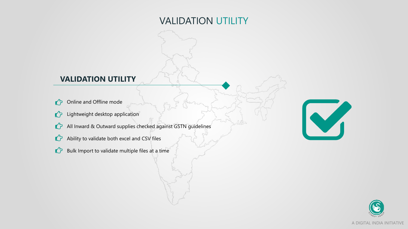## VALIDATION UTILITY

## **VALIDATION UTILITY**

- Online and Offline mode  $\mathbf{r}$
- **C** Lightweight desktop application
- All Inward & Outward supplies checked against GSTN guidelines
- Ability to validate both excel and CSV files
- Bulk Import to validate multiple files at a time



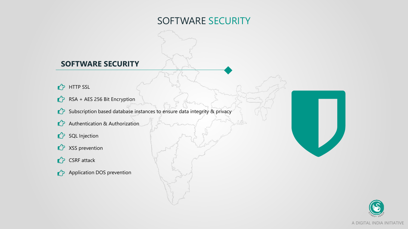## SOFTWARE SECURITY

## **SOFTWARE SECURITY**

- **C** HTTP SSL
- $\bullet$  RSA + AES 256 Bit Encryption
- Subscription based database instances to ensure data integrity & privacy
- **C** Authentication & Authorization
- SQL Injection
- **C** XSS prevention
- CSRF attack
- **Application DOS prevention**